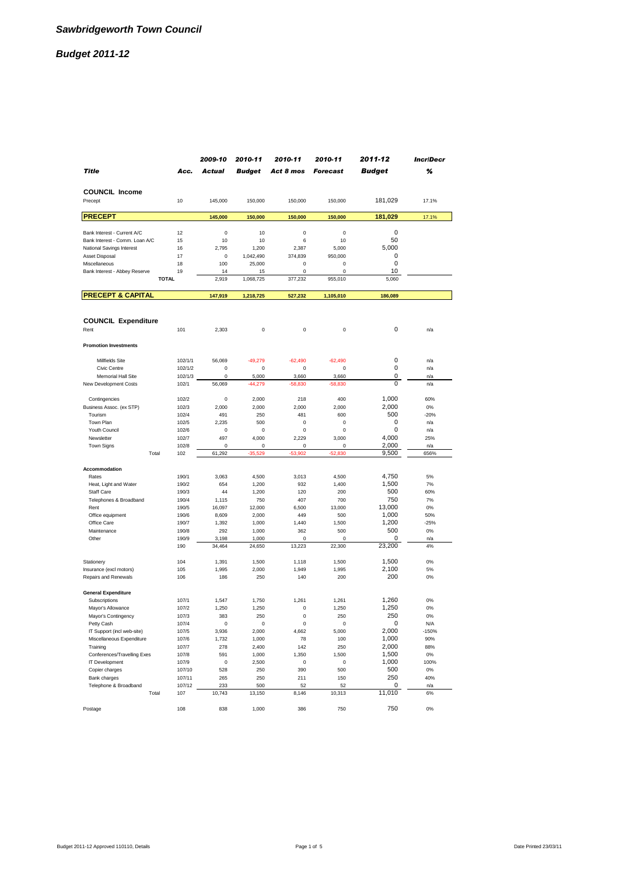|                                                             |                | 2009-10        | 2010-11        | 2010-11            | 2010-11         | 2011-12              | <b>IncriDecr</b> |
|-------------------------------------------------------------|----------------|----------------|----------------|--------------------|-----------------|----------------------|------------------|
| Title                                                       | Acc.           | Actual         | <b>Budget</b>  | Act 8 mos          | <b>Forecast</b> | <b>Budget</b>        | %                |
|                                                             |                |                |                |                    |                 |                      |                  |
| <b>COUNCIL Income</b>                                       |                |                |                |                    |                 |                      |                  |
| Precept                                                     | 10             | 145,000        | 150,000        | 150,000            | 150,000         | 181,029              | 17.1%            |
| <b>PRECEPT</b>                                              |                | 145,000        | 150,000        | 150,000            | 150,000         | 181,029              | 17.1%            |
|                                                             |                |                |                |                    |                 |                      |                  |
| Bank Interest - Current A/C                                 | 12             | 0              | 10             | 0                  | 0               | $\mathbf 0$<br>50    |                  |
| Bank Interest - Comm. Loan A/C<br>National Savings Interest | 15<br>16       | 10<br>2,795    | 10<br>1,200    | 6<br>2,387         | 10<br>5,000     | 5,000                |                  |
| Asset Disposal                                              | 17             | 0              | 1,042,490      | 374,839            | 950,000         | 0                    |                  |
| Miscellaneous                                               | 18             | 100            | 25,000         | 0                  | 0               | $\mathbf 0$          |                  |
| Bank Interest - Abbey Reserve                               | 19             | 14             | 15             | 0                  | 0               | 10                   |                  |
| <b>TOTAL</b>                                                |                | 2,919          | 1,068,725      | 377,232            | 955,010         | 5,060                |                  |
| <b>PRECEPT &amp; CAPITAL</b>                                |                | 147,919        | 1,218,725      | 527,232            | 1,105,010       | 186,089              |                  |
|                                                             |                |                |                |                    |                 |                      |                  |
| <b>COUNCIL Expenditure</b>                                  |                |                |                |                    |                 |                      |                  |
| Rent                                                        | 101            | 2,303          | 0              | 0                  | 0               | 0                    | n/a              |
|                                                             |                |                |                |                    |                 |                      |                  |
| <b>Promotion Investments</b>                                |                |                |                |                    |                 |                      |                  |
| Millfields Site                                             | 102/1/1        | 56,069         | $-49.279$      | $-62.490$          | $-62.490$       | 0                    | n/a              |
| Civic Centre                                                | 102/1/2        | 0              | 0              | 0                  | 0               | 0                    | n/a              |
| Memorial Hall Site                                          | 102/1/3        | 0              | 5,000          | 3,660              | 3,660           | 0                    | n/a              |
| New Development Costs                                       | 102/1          | 56,069         | $-44,279$      | $-58,830$          | $-58,830$       | $\Omega$             | n/a              |
| Contingencies                                               | 102/2          | 0              | 2,000          | 218                | 400             | 1,000                | 60%              |
| Business Assoc. (ex STP)                                    | 102/3          | 2,000          | 2,000          | 2,000              | 2,000           | 2,000                | 0%               |
| Tourism                                                     | 102/4          | 491            | 250            | 481                | 600             | 500                  | $-20%$           |
| Town Plan                                                   | 102/5          | 2,235          | 500            | 0                  | 0               | 0                    | n/a              |
| Youth Council<br>Newsletter                                 | 102/6<br>102/7 | $\bf 0$<br>497 | 0              | $\pmb{0}$<br>2,229 | 0               | $\mathbf 0$<br>4,000 | n/a<br>25%       |
| <b>Town Signs</b>                                           | 102/8          | 0              | 4,000<br>0     | 0                  | 3,000<br>0      | 2,000                | n/a              |
| Total                                                       | 102            | 61,292         | $-35,529$      | $-53,902$          | $-52,830$       | 9,500                | 656%             |
|                                                             |                |                |                |                    |                 |                      |                  |
| Accommodation<br>Rates                                      | 190/1          | 3,063          | 4,500          | 3,013              | 4,500           | 4,750                | 5%               |
| Heat, Light and Water                                       | 190/2          | 654            | 1,200          | 932                | 1,400           | 1,500                | 7%               |
| <b>Staff Care</b>                                           | 190/3          | 44             | 1,200          | 120                | 200             | 500                  | 60%              |
| Telephones & Broadband                                      | 190/4          | 1,115          | 750            | 407                | 700             | 750                  | 7%               |
| Rent                                                        | 190/5          | 16,097         | 12,000         | 6,500              | 13,000          | 13,000               | 0%               |
| Office equipment<br>Office Care                             | 190/6          | 8,609          | 2,000          | 449                | 500             | 1,000                | 50%              |
| Maintenance                                                 | 190/7<br>190/8 | 1,392<br>292   | 1,000<br>1,000 | 1,440<br>362       | 1,500<br>500    | 1,200<br>500         | $-25%$<br>0%     |
| Other                                                       | 190/9          | 3,198          | 1,000          | 0                  | 0               | 0                    | n/a              |
|                                                             | 190            | 34,464         | 24,650         | 13,223             | 22,300          | 23,200               | 4%               |
| Stationery                                                  | 104            | 1,391          | 1,500          | 1,118              | 1,500           | 1,500                | 0%               |
| Insurance (excl motors)                                     | 105            | 1,995          | 2,000          | 1,949              | 1,995           | 2,100                | 5%               |
| Repairs and Renewals                                        | 106            | 186            | 250            | 140                | 200             | 200                  | 0%               |
| <b>General Expenditure</b>                                  |                |                |                |                    |                 |                      |                  |
| Subscriptions                                               | 107/1          | 1,547          | 1,750          | 1,261              | 1,261           | 1,260                | 0%               |
| Mayor's Allowance                                           | 107/2          | 1,250          | 1,250          | 0                  | 1,250           | 1,250                | 0%               |
| Mayor's Contingency                                         | 107/3          | 383            | 250            | 0                  | 250             | 250                  | 0%               |
| Petty Cash                                                  | 107/4          | 0              | 0              | 0                  | 0               | 0<br>2,000           | N/A              |
| IT Support (incl web-site)<br>Miscellaneous Expenditure     | 107/5<br>107/6 | 3,936<br>1,732 | 2,000<br>1,000 | 4,662<br>78        | 5,000<br>100    | 1,000                | $-150%$<br>90%   |
| Training                                                    | 107/7          | 278            | 2,400          | 142                | 250             | 2,000                | 88%              |
| Conferences/Travelling Exes                                 | 107/8          | 591            | 1,000          | 1,350              | 1,500           | 1,500                | $0\%$            |
| IT Development                                              | 107/9          | 0              | 2,500          | 0                  | 0               | 1,000                | 100%             |
| Copier charges                                              | 107/10         | 528            | 250            | 390                | 500             | 500                  | $0\%$            |
| Bank charges<br>Telephone & Broadband                       | 107/11         | 265            | 250            | 211                | 150             | 250                  | 40%              |
| Total                                                       | 107/12<br>107  | 233<br>10,743  | 500<br>13,150  | 52<br>8,146        | 52<br>10,313    | 0<br>11,010          | n/a<br>6%        |
|                                                             |                |                |                |                    |                 |                      |                  |
| Postage                                                     | 108            | 838            | 1,000          | 386                | 750             | 750                  | 0%               |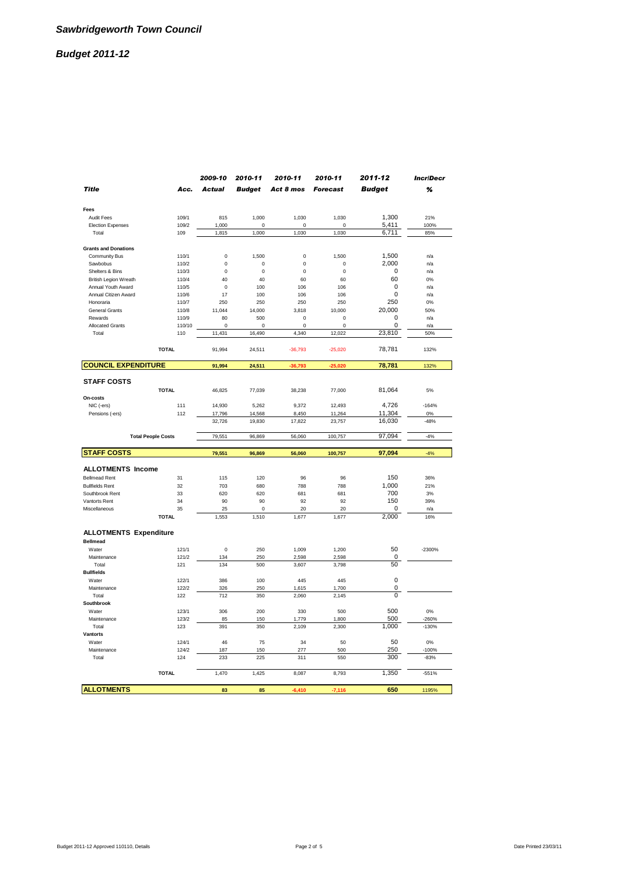|                               |                           | 2009-10       | 2010-11       | 2010-11        | 2010-11         | 2011-12       | <b>IncriDecr</b> |
|-------------------------------|---------------------------|---------------|---------------|----------------|-----------------|---------------|------------------|
| <b>Title</b>                  | Acc.                      | <b>Actual</b> | <b>Budget</b> | Act 8 mos      | <b>Forecast</b> | <b>Budget</b> | %                |
| Fees                          |                           |               |               |                |                 |               |                  |
| <b>Audit Fees</b>             | 109/1                     | 815           | 1,000         | 1,030          | 1,030           | 1,300         | 21%              |
| <b>Election Expenses</b>      | 109/2                     | 1,000         | $\Omega$      | $\Omega$       | $\Omega$        | 5,411         | 100%             |
| Total                         | 109                       | 1,815         | 1,000         | 1,030          | 1,030           | 6,711         | 85%              |
| <b>Grants and Donations</b>   |                           |               |               |                |                 |               |                  |
| Community Bus                 | 110/1                     | 0             | 1,500         | $\mathbf 0$    | 1,500           | 1,500         | n/a              |
| Sawbobus                      | 110/2                     | 0             | $\mathbf 0$   | $\mathbf 0$    | $\mathbf 0$     | 2,000         | n/a              |
| Shelters & Bins               | 110/3                     | $\Omega$      | $\bf 0$       | $\Omega$       | $\Omega$        | $\mathbf 0$   | n/a              |
| <b>British Legion Wreath</b>  | 110/4                     | 40            | 40            | 60             | 60              | 60            | 0%               |
| Annual Youth Award            | 110/5                     | $\mathbf 0$   | 100           | 106            | 106             | $\Omega$      | n/a              |
| Annual Citizen Award          | 110/6                     | 17            | 100           | 106            | 106             | 0             | n/a              |
| Honoraria                     | 110/7                     | 250           | 250           | 250            | 250             | 250           | 0%               |
| General Grants                | 110/8                     | 11,044        | 14,000        | 3,818          | 10,000          | 20,000        | 50%              |
| Rewards                       | 110/9                     | 80            | 500           | $\pmb{0}$      | $\bf 0$         | 0             | n/a              |
| <b>Allocated Grants</b>       | 110/10                    | $\Omega$      | $\Omega$      | $\Omega$       | $\Omega$        | 0             | n/a              |
| Total                         | 110                       | 11,431        | 16,490        | 4,340          | 12,022          | 23,810        | 50%              |
|                               | <b>TOTAL</b>              | 91,994        | 24,511        | $-36,793$      | $-25,020$       | 78,781        | 132%             |
| <b>COUNCIL EXPENDITURE</b>    |                           | 91,994        | 24,511        | $-36,793$      | $-25.020$       | 78,781        | 132%             |
| <b>STAFF COSTS</b>            |                           |               |               |                |                 |               |                  |
| On-costs                      | <b>TOTAL</b>              | 46,825        | 77,039        | 38,238         | 77,000          | 81,064        | 5%               |
| NIC (-ers)                    | 111                       | 14,930        | 5,262         | 9,372          | 12.493          | 4,726         | $-164%$          |
| Pensions (-ers)               | 112                       | 17,796        | 14,568        | 8,450          | 11,264          | 11,304        | 0%               |
|                               |                           | 32,726        | 19,830        | 17,822         | 23,757          | 16,030        | $-48%$           |
|                               | <b>Total People Costs</b> | 79,551        | 96,869        | 56,060         | 100,757         | 97,094        | $-4%$            |
| <b>STAFF COSTS</b>            |                           | 79,551        | 96,869        | 56,060         | 100,757         | 97,094        | $-4%$            |
| <b>ALLOTMENTS Income</b>      |                           |               |               |                |                 |               |                  |
| <b>Bellmead Rent</b>          | 31                        | 115           | 120           | 96             | 96              | 150           | 36%              |
| <b>Bullfields Rent</b>        | 32                        | 703           | 680           | 788            | 788             | 1.000         | 21%              |
| Southbrook Rent               | 33                        | 620           | 620           | 681            | 681             | 700           | 3%               |
| Vantorts Rent                 | 34                        | 90            | 90            | 92             | 92              | 150           | 39%              |
| Miscellaneous                 | 35                        | 25            | $\Omega$      | 20             | 20              | $\Omega$      | n/a              |
|                               | <b>TOTAL</b>              | 1,553         | 1,510         | 1,677          | 1,677           | 2,000         | 16%              |
| <b>ALLOTMENTS Expenditure</b> |                           |               |               |                |                 |               |                  |
| <b>Bellmead</b>               |                           |               |               |                |                 |               |                  |
| Water                         | 121/1                     | 0             | 250           | 1,009          | 1,200           | 50            | $-2300%$         |
| Maintenance                   | 121/2                     | 134           | 250           | 2,598          | 2,598           | $\mathbf 0$   |                  |
| Total                         | 121                       | 134           | 500           | 3,607          | 3,798           | 50            |                  |
| <b>Bullfields</b>             |                           |               |               |                |                 | $\mathbf 0$   |                  |
| Water                         | 122/1                     | 386           | 100           | 445            | 445             |               |                  |
| Maintenance                   | 122/2                     | 326           | 250           | 1,615          | 1,700           | 0<br>0        |                  |
| Total<br>Southbrook           | 122                       | 712           | 350           | 2,060          | 2.145           |               |                  |
| Water                         | 123/1                     | 306           | 200           | 330            | 500             | 500           | 0%               |
|                               | 123/2                     |               |               |                |                 | 500           |                  |
| Maintenance<br>Total          | 123                       | 85<br>391     | 150<br>350    | 1,779<br>2,109 | 1,800<br>2,300  | 1,000         | -260%<br>$-130%$ |
| <b>Vantorts</b>               |                           |               |               |                |                 |               |                  |
| Water                         | 124/1                     | 46            | 75            | 34             | 50              | 50            | 0%               |
| Maintenance                   | 124/2                     | 187           | 150           | 277            | 500             | 250           | $-100%$          |
| Total                         | 124                       | 233           | 225           | 311            | 550             | 300           | $-83%$           |
|                               | <b>TOTAL</b>              | 1,470         | 1,425         | 8,087          | 8,793           | 1,350         | $-551%$          |
|                               |                           |               |               |                |                 |               |                  |
| <b>ALLOTMENTS</b>             |                           | 83            | 85            | $-6,410$       | $-7.116$        | 650           | 1195%            |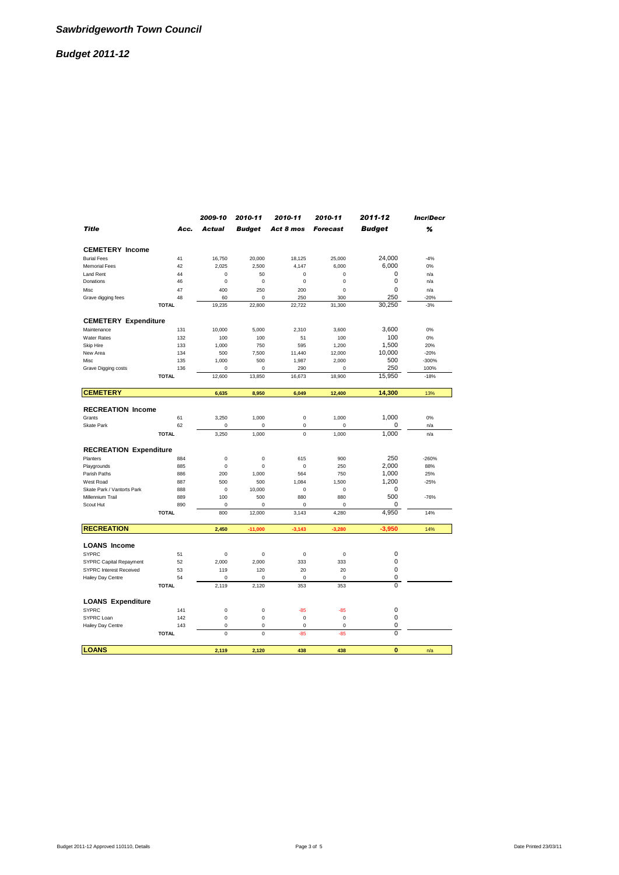|                                |              | 2009-10       | 2010-11       | 2010-11   | 2010-11         | 2011-12        | <b>IncriDecr</b> |
|--------------------------------|--------------|---------------|---------------|-----------|-----------------|----------------|------------------|
| <b>Title</b>                   | Acc.         | <b>Actual</b> | <b>Budget</b> | Act 8 mos | <b>Forecast</b> | <b>Budget</b>  | %                |
|                                |              |               |               |           |                 |                |                  |
| <b>CEMETERY Income</b>         |              |               |               |           |                 |                |                  |
| <b>Burial Fees</b>             | 41           | 16,750        | 20,000        | 18,125    | 25,000          | 24,000         | $-4%$            |
| <b>Memorial Fees</b>           | 42           | 2,025         | 2,500         | 4,147     | 6,000           | 6,000          | 0%               |
| Land Rent                      | 44           | 0             | 50            | 0         | $\mathbf 0$     | 0              | n/a              |
| Donations                      | 46           | 0             | $\mathbf 0$   | 0         | $\mathbf 0$     | 0              | n/a              |
| Misc                           | 47           | 400           | 250           | 200       | $\mathbf 0$     | $\mathbf 0$    | n/a              |
| Grave digging fees             | 48           | 60            | $\mathbf 0$   | 250       | 300             | 250            | $-20%$           |
|                                | <b>TOTAL</b> | 19,235        | 22,800        | 22,722    | 31,300          | 30,250         | $-3%$            |
| <b>CEMETERY Expenditure</b>    |              |               |               |           |                 |                |                  |
| Maintenance                    | 131          | 10,000        | 5,000         | 2,310     | 3,600           | 3,600          | 0%               |
| <b>Water Rates</b>             | 132          | 100           | 100           | 51        | 100             | 100            | 0%               |
| Skip Hire                      | 133          | 1,000         | 750           | 595       | 1,200           | 1,500          | 20%              |
| New Area                       | 134          | 500           | 7,500         | 11,440    | 12,000          | 10,000         | $-20%$           |
| Misc                           | 135          | 1,000         | 500           | 1,987     | 2,000           | 500            | $-300%$          |
| Grave Digging costs            | 136          | 0             | $\mathbf 0$   | 290       | $\mathbf 0$     | 250            | 100%             |
|                                | <b>TOTAL</b> | 12,600        | 13,850        | 16,673    | 18,900          | 15,950         | $-18%$           |
| <b>CEMETERY</b>                |              | 6,635         | 8,950         | 6,049     | 12,400          | 14,300         | 13%              |
|                                |              |               |               |           |                 |                |                  |
| <b>RECREATION Income</b>       |              |               |               |           |                 |                |                  |
| Grants                         | 61           | 3,250         | 1,000         | 0         | 1,000           | 1,000          | 0%               |
| Skate Park                     | 62           | $\mathbf 0$   | $\mathbf 0$   | 0         | $\mathbf 0$     | 0              | n/a              |
|                                | <b>TOTAL</b> | 3,250         | 1,000         | 0         | 1,000           | 1,000          | n/a              |
| <b>RECREATION Expenditure</b>  |              |               |               |           |                 |                |                  |
| Planters                       | 884          | 0             | 0             | 615       | 900             | 250            | $-260%$          |
| Playgrounds                    | 885          | $\mathbf 0$   | $\mathbf 0$   | 0         | 250             | 2,000          | 88%              |
| Parish Paths                   | 886          | 200           | 1,000         | 564       | 750             | 1,000          | 25%              |
| West Road                      | 887          | 500           | 500           | 1,084     | 1,500           | 1,200          | $-25%$           |
| Skate Park / Vantorts Park     | 888          | $\mathbf 0$   | 10,000        | 0         | $\mathbf 0$     | 0              |                  |
| Millennium Trail               | 889          | 100           | 500           | 880       | 880             | 500            | $-76%$           |
| Scout Hut                      | 890          | 0             | 0             | 0         | 0               | 0              |                  |
|                                | <b>TOTAL</b> | 800           | 12,000        | 3,143     | 4,280           | 4,950          | 14%              |
|                                |              |               |               |           |                 |                |                  |
| <b>RECREATION</b>              |              | 2.450         | $-11.000$     | $-3,143$  | $-3,280$        | $-3.950$       | 14%              |
| <b>LOANS Income</b>            |              |               |               |           |                 |                |                  |
| <b>SYPRC</b>                   | 51           | 0             | 0             | 0         | $\mathbf 0$     | 0              |                  |
| <b>SYPRC Capital Repayment</b> | 52           | 2,000         | 2,000         | 333       | 333             | 0              |                  |
| <b>SYPRC Interest Received</b> | 53           | 119           | 120           | 20        | 20              | $\mathbf 0$    |                  |
| Hailey Day Centre              | 54           | $\mathbf 0$   | $\mathbf 0$   | 0         | $\mathbf 0$     | 0              |                  |
|                                | <b>TOTAL</b> | 2,119         | 2,120         | 353       | 353             | 0              |                  |
| <b>LOANS Expenditure</b>       |              |               |               |           |                 |                |                  |
| <b>SYPRC</b>                   | 141          | $\mathbf 0$   | $\mathbf 0$   | $-85$     | $-85$           | $\mathbf 0$    |                  |
| SYPRC Loan                     | 142          | 0             | $\mathbf 0$   | 0         | $\mathbf 0$     | $\mathbf 0$    |                  |
| Hailey Day Centre              | 143          | 0             | $\mathbf 0$   | 0         | $\mathbf 0$     | 0              |                  |
|                                | <b>TOTAL</b> | $\mathbf 0$   | $\mathbf 0$   | $-85$     | $-85$           | $\overline{0}$ |                  |
|                                |              |               |               |           |                 |                |                  |
| LOANS                          |              | 2.119         | 2.120         | 438       | 438             | $\bf{0}$       | n/a              |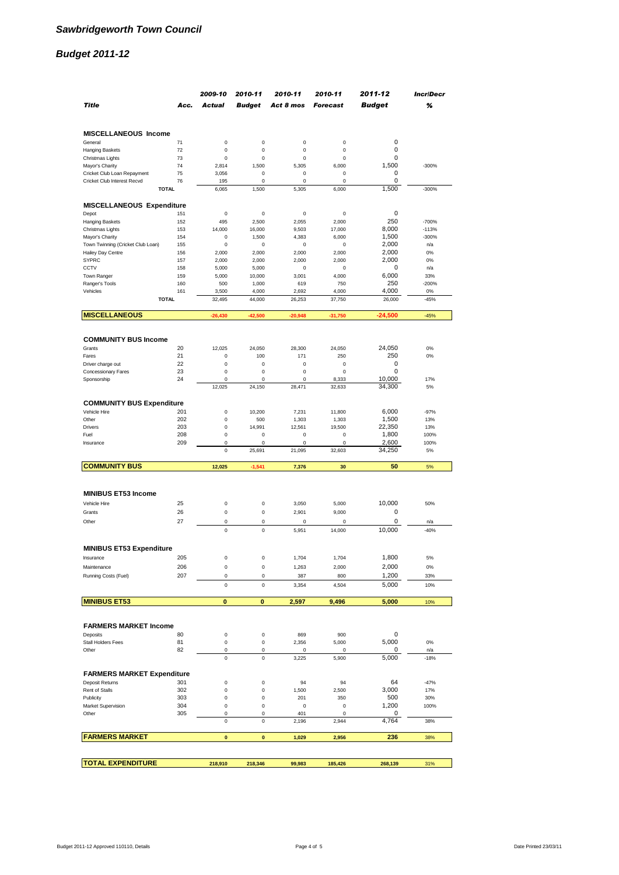|                                                            |            | 2009-10         | 2010-11                    | 2010-11          | 2010-11              | 2011-12       | <b>IncriDecr</b> |
|------------------------------------------------------------|------------|-----------------|----------------------------|------------------|----------------------|---------------|------------------|
| <b>Title</b>                                               | Acc.       | <b>Actual</b>   | <b>Budget</b>              | Act 8 mos        | <b>Forecast</b>      | <b>Budget</b> | %                |
|                                                            |            |                 |                            |                  |                      |               |                  |
| MISCELLANEOUS Income                                       |            |                 |                            |                  |                      |               |                  |
| General                                                    | 71         | $\bf 0$         | $\mathsf 0$                | $\pmb{0}$        | $\mathbf 0$          | 0             |                  |
| <b>Hanging Baskets</b>                                     | 72         | $\mathbf 0$     | $\mathbf 0$                | 0                | $\mathbf 0$          | $\mathbf 0$   |                  |
| Christmas Lights                                           | 73         | $\bf 0$         | $\bf 0$                    | 0                | $\mathbf 0$          | 0             |                  |
| Mayor's Charity                                            | 74<br>75   | 2,814<br>3,056  | 1,500<br>$\bf 0$           | 5,305<br>0       | 6,000<br>$\mathbf 0$ | 1,500<br>0    | $-300%$          |
| Cricket Club Loan Repayment<br>Cricket Club Interest Recvd | 76         | 195             | 0                          | 0                | 0                    | 0             |                  |
| <b>TOTAL</b>                                               |            | 6,065           | 1,500                      | 5,305            | 6,000                | 1.500         | $-300%$          |
| <b>MISCELLANEOUS Expenditure</b>                           |            |                 |                            |                  |                      |               |                  |
| Depot                                                      | 151        | $\bf 0$         | $\bf 0$                    | 0                | $\mathbf 0$          | 0             |                  |
| <b>Hanging Baskets</b>                                     | 152        | 495             | 2,500                      | 2,055            | 2,000                | 250           | $-700%$          |
| Christmas Lights                                           | 153        | 14,000          | 16,000                     | 9,503            | 17,000               | 8.000         | $-113%$          |
| Mayor's Charity                                            | 154        | 0               | 1,500                      | 4,383            | 6,000                | 1,500         | $-300%$          |
| Town Twinning (Cricket Club Loan)                          | 155        | 0               | 0                          | 0                | 0                    | 2,000         | n/a              |
| Hailey Day Centre                                          | 156        | 2,000           | 2,000                      | 2,000            | 2,000                | 2,000         | 0%               |
| <b>SYPRC</b>                                               | 157        | 2,000           | 2,000                      | 2,000            | 2,000                | 2,000         | 0%               |
| CCTV                                                       | 158        | 5,000           | 5,000                      | 0                | 0                    | 0             | n/a              |
| Town Ranger                                                | 159        | 5,000           | 10,000                     | 3,001            | 4,000                | 6,000         | 33%              |
| Ranger's Tools                                             | 160        | 500             | 1,000                      | 619              | 750                  | 250<br>4,000  | $-200%$          |
| Vehicles<br><b>TOTAL</b>                                   | 161        | 3,500<br>32,495 | 4,000<br>44,000            | 2,692<br>26,253  | 4,000<br>37,750      | 26,000        | 0%<br>$-45%$     |
|                                                            |            |                 |                            |                  |                      |               |                  |
| <b>MISCELLANEOUS</b>                                       |            | $-26,430$       | $-42,500$                  | $-20,948$        | $-31,750$            | $-24,500$     | $-45%$           |
| <b>COMMUNITY BUS Income</b>                                |            |                 |                            |                  |                      |               |                  |
| Grants                                                     | 20         | 12,025          | 24,050                     | 28,300           |                      | 24,050        | 0%               |
| Fares                                                      | 21         | $\mathbf 0$     | 100                        | 171              | 24,050<br>250        | 250           | 0%               |
| Driver charge out                                          | 22         | $\mathbf 0$     | $\mathbf 0$                | $\mathbf 0$      | $\bf 0$              | $\mathbf 0$   |                  |
| Concessionary Fares                                        | 23         | $\mathbf 0$     | $\mathbf 0$                | $\mathbf 0$      | $\mathbf 0$          | $\mathbf 0$   |                  |
| Sponsorship                                                | 24         | $\mathbf 0$     | $\mathsf 0$                | 0                | 8,333                | 10,000        | 17%              |
|                                                            |            | 12,025          | 24,150                     | 28,471           | 32,633               | 34,300        | 5%               |
|                                                            |            |                 |                            |                  |                      |               |                  |
| <b>COMMUNITY BUS Expenditure</b><br>Vehicle Hire           | 201        | $\bf 0$         | 10,200                     | 7,231            | 11,800               | 6,000         | $-97%$           |
| Other                                                      | 202        | $\bf 0$         | 500                        | 1,303            | 1,303                | 1,500         | 13%              |
| Drivers                                                    | 203        | 0               | 14,991                     | 12,561           | 19,500               | 22,350        | 13%              |
| Fuel                                                       | 208        | $\bf 0$         | 0                          | 0                | 0                    | 1,800         | 100%             |
| Insurance                                                  | 209        | 0               | 0                          | 0                | 0                    | 2,600         | 100%             |
|                                                            |            | 0               | 25,691                     | 21,095           | 32,603               | 34,250        | 5%               |
| <b>COMMUNITY BUS</b>                                       |            | 12,025          | $-1,541$                   | 7,376            | 30                   | 50            | 5%               |
|                                                            |            |                 |                            |                  |                      |               |                  |
| <b>MINIBUS ET53 Income</b>                                 |            |                 |                            |                  |                      |               |                  |
| Vehicle Hire                                               | 25         | 0               | 0                          | 3,050            | 5,000                | 10.000        | 50%              |
| Grants                                                     | 26         | 0               | $\mathsf 0$                | 2,901            | 9,000                | 0             |                  |
| Other                                                      | 27         | $\mathbf 0$     | $\mathbf 0$                | $\mathbf 0$      | $\mathbf 0$          | $\mathbf 0$   |                  |
|                                                            |            |                 |                            |                  |                      |               | n/a              |
|                                                            |            | $\mathbf 0$     | $\mathbf 0$                | 5,951            | 14,000               | 10,000        | $-40%$           |
| <b>MINIBUS ET53 Expenditure</b>                            |            |                 |                            |                  |                      |               |                  |
| Insurance                                                  | 205        | 0               | 0                          | 1,704            | 1,704                | 1,800         | 5%               |
| Maintenance                                                | 206        | $\pmb{0}$       | $\mathsf 0$                | 1,263            | 2,000                | 2,000         | 0%               |
| Running Costs (Fuel)                                       | 207        | 0               | 0                          | 387              | 800                  | 1,200         | 33%              |
|                                                            |            | $\bf 0$         | $\mathsf 0$                | 3,354            | 4,504                | 5,000         | 10%              |
| <b>MINIBUS ET53</b>                                        |            | 0               | 0                          | 2,597            | 9,496                | 5,000         | 10%              |
|                                                            |            |                 |                            |                  |                      |               |                  |
| <b>FARMERS MARKET Income</b>                               |            |                 |                            |                  |                      |               |                  |
| Deposits                                                   | 80         | $\bf 0$         | $\mathsf 0$                | 869              | 900                  | 0             |                  |
| Stall Holders Fees                                         | 81         | $\bf 0$         | 0                          | 2,356            | 5,000                | 5,000         | 0%               |
| Other                                                      | 82         | $\bf 0$         | $\mathsf 0$                | 0                | 0                    | 0             | n/a              |
|                                                            |            | $\bf 0$         | 0                          | 3,225            | 5,900                | 5.000         | $-18%$           |
|                                                            |            |                 |                            |                  |                      |               |                  |
| <b>FARMERS MARKET Expenditure</b>                          |            |                 |                            |                  |                      |               |                  |
| Deposit Returns                                            | 301        | 0               | 0                          | 94               | 94                   | 64            | $-47%$           |
| Rent of Stalls                                             | 302        | 0               | $\mathsf 0$                | 1,500            | 2,500                | 3,000         | 17%              |
| Publicity                                                  | 303<br>304 | 0<br>$\bf 0$    | $\mathsf 0$<br>$\mathsf 0$ | 201<br>$\pmb{0}$ | 350<br>0             | 500<br>1,200  | 30%              |
| Market Supervision<br>Other                                | 305        | $\pmb{0}$       | 0                          | 401              | 0                    | 0             | 100%             |
|                                                            |            | $\bf 0$         | $\mathsf 0$                | 2,196            | 2,944                | 4,764         | 38%              |
|                                                            |            |                 |                            |                  |                      |               |                  |
| <b>FARMERS MARKET</b>                                      |            | $\mathbf{0}$    | $\bf{0}$                   | 1,029            | 2,956                | 236           | 38%              |
|                                                            |            |                 |                            |                  |                      |               |                  |
| <b>TOTAL EXPENDITURE</b>                                   |            | 218,910         | 218,346                    | 99,983           | 185,426              | 268,139       | 31%              |